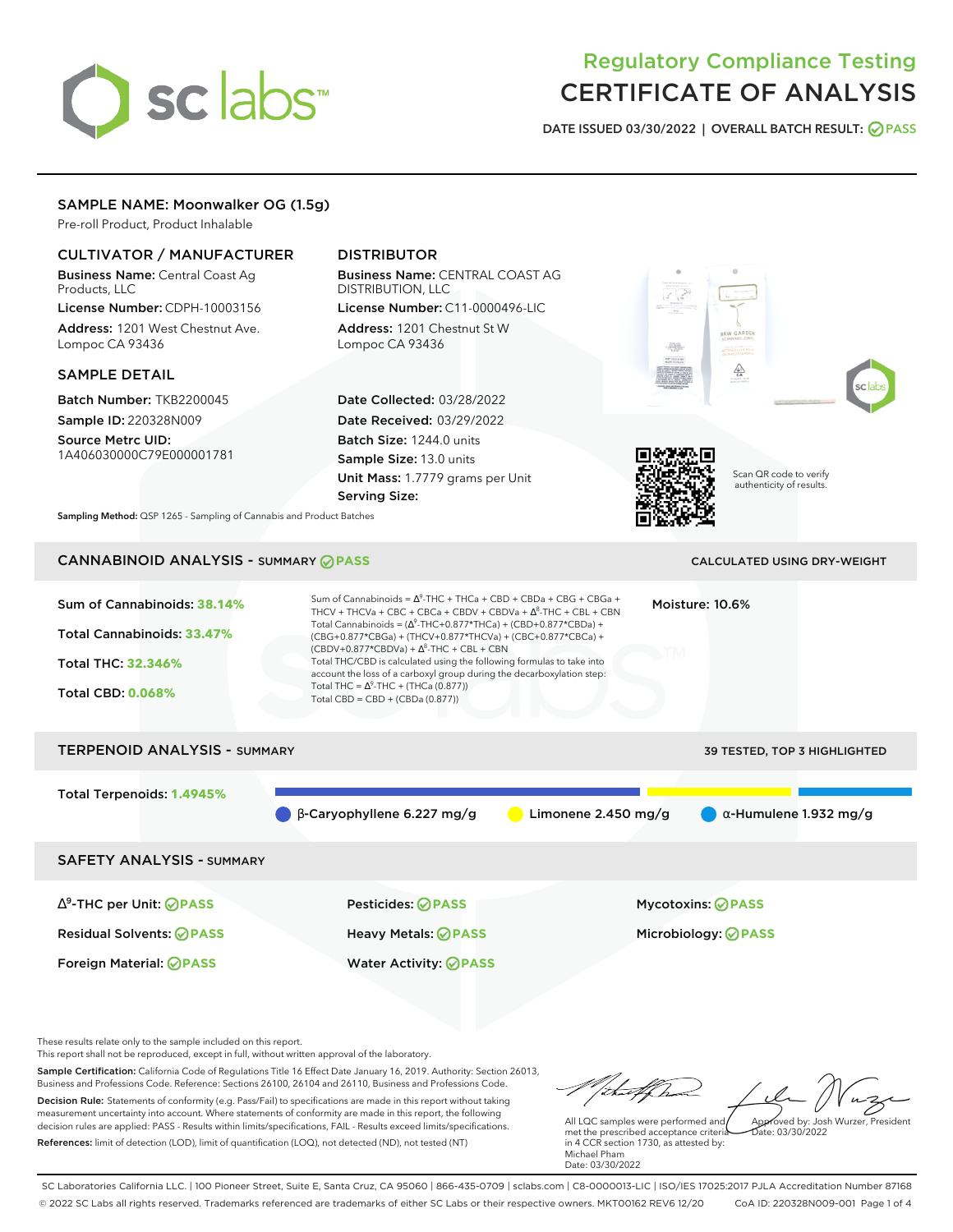# sclabs

# Regulatory Compliance Testing CERTIFICATE OF ANALYSIS

**DATE ISSUED 03/30/2022 | OVERALL BATCH RESULT: PASS**

# SAMPLE NAME: Moonwalker OG (1.5g)

Pre-roll Product, Product Inhalable

# CULTIVATOR / MANUFACTURER

Business Name: Central Coast Ag Products, LLC License Number: CDPH-10003156

Address: 1201 West Chestnut Ave. Lompoc CA 93436

# SAMPLE DETAIL

Batch Number: TKB2200045 Sample ID: 220328N009

Source Metrc UID: 1A406030000C79E000001781

# DISTRIBUTOR

Business Name: CENTRAL COAST AG DISTRIBUTION, LLC License Number: C11-0000496-LIC

Address: 1201 Chestnut St W Lompoc CA 93436

Date Collected: 03/28/2022 Date Received: 03/29/2022 Batch Size: 1244.0 units Sample Size: 13.0 units Unit Mass: 1.7779 grams per Unit Serving Size:





Scan QR code to verify authenticity of results.

**Sampling Method:** QSP 1265 - Sampling of Cannabis and Product Batches

# CANNABINOID ANALYSIS - SUMMARY **PASS** CALCULATED USING DRY-WEIGHT



These results relate only to the sample included on this report.

This report shall not be reproduced, except in full, without written approval of the laboratory.

Sample Certification: California Code of Regulations Title 16 Effect Date January 16, 2019. Authority: Section 26013, Business and Professions Code. Reference: Sections 26100, 26104 and 26110, Business and Professions Code. Decision Rule: Statements of conformity (e.g. Pass/Fail) to specifications are made in this report without taking measurement uncertainty into account. Where statements of conformity are made in this report, the following decision rules are applied: PASS - Results within limits/specifications, FAIL - Results exceed limits/specifications.

Foreign Material: **PASS** Water Activity: **PASS**

References: limit of detection (LOD), limit of quantification (LOQ), not detected (ND), not tested (NT)

tu#f h Approved by: Josh Wurzer, President

 $ate: 03/30/2022$ 

All LQC samples were performed and met the prescribed acceptance criteria in 4 CCR section 1730, as attested by: Michael Pham Date: 03/30/2022

SC Laboratories California LLC. | 100 Pioneer Street, Suite E, Santa Cruz, CA 95060 | 866-435-0709 | sclabs.com | C8-0000013-LIC | ISO/IES 17025:2017 PJLA Accreditation Number 87168 © 2022 SC Labs all rights reserved. Trademarks referenced are trademarks of either SC Labs or their respective owners. MKT00162 REV6 12/20 CoA ID: 220328N009-001 Page 1 of 4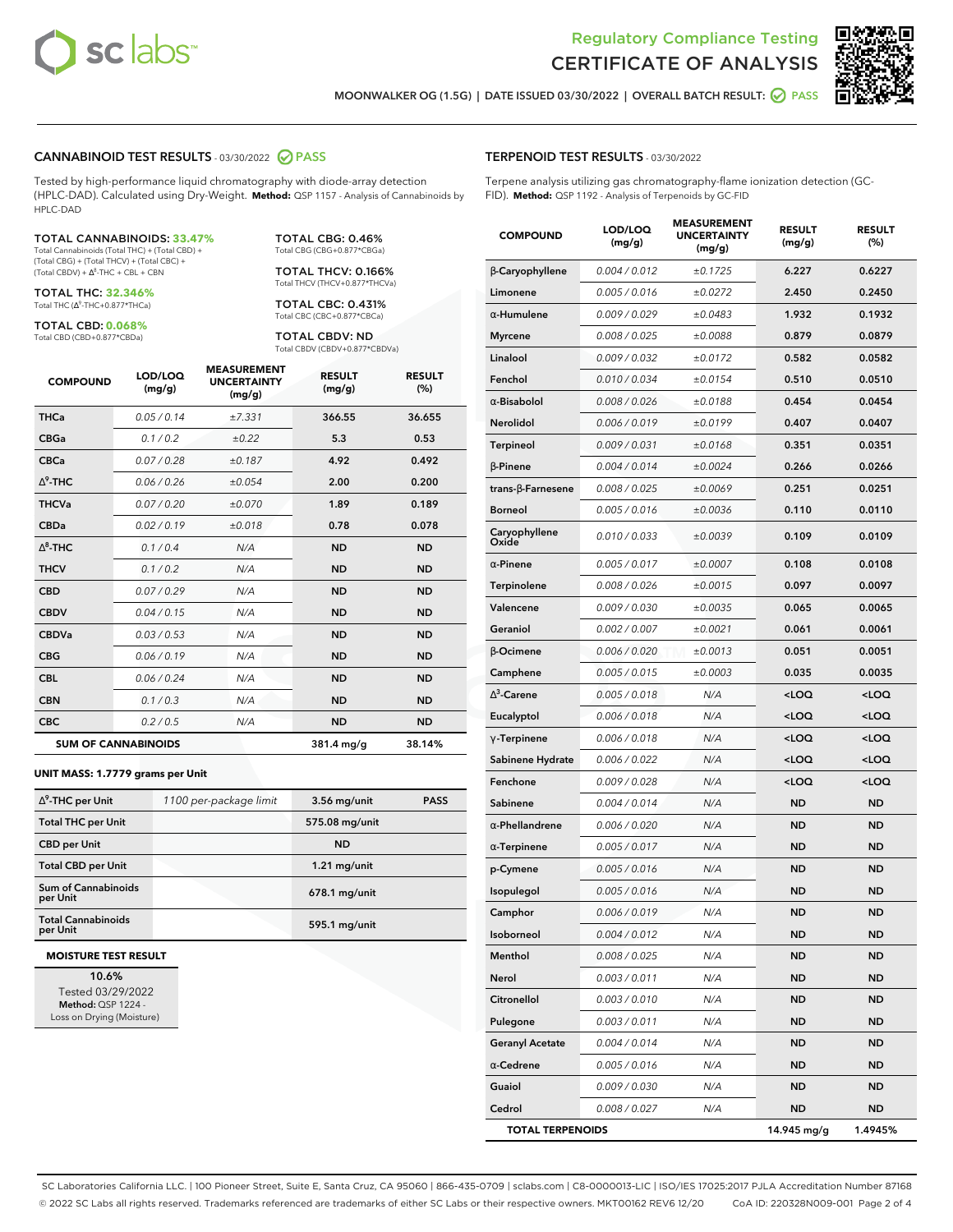



**MOONWALKER OG (1.5G) | DATE ISSUED 03/30/2022 | OVERALL BATCH RESULT: PASS**

### **CANNABINOID TEST RESULTS** - 03/30/2022 **PASS**

Tested by high-performance liquid chromatography with diode-array detection (HPLC-DAD). Calculated using Dry-Weight. **Method:** QSP 1157 - Analysis of Cannabinoids by HPLC-DAD

### TOTAL CANNABINOIDS: **33.47%**

Total Cannabinoids (Total THC) + (Total CBD) + (Total CBG) + (Total THCV) + (Total CBC) +  $(Total CBDV) +  $\Delta^8$ -THC + CBL + CBN$ 

TOTAL THC: **32.346%** Total THC (Ƽ-THC+0.877\*THCa)

TOTAL CBD: **0.068%** Total CBD (CBD+0.877\*CBDa)

TOTAL CBG: 0.46% Total CBG (CBG+0.877\*CBGa)

TOTAL THCV: 0.166% Total THCV (THCV+0.877\*THCVa)

TOTAL CBC: 0.431% Total CBC (CBC+0.877\*CBCa)

TOTAL CBDV: ND Total CBDV (CBDV+0.877\*CBDVa)

| <b>COMPOUND</b> | LOD/LOQ<br>(mg/g)          | <b>MEASUREMENT</b><br><b>UNCERTAINTY</b><br>(mg/g) | <b>RESULT</b><br>(mg/g) | <b>RESULT</b><br>(%) |
|-----------------|----------------------------|----------------------------------------------------|-------------------------|----------------------|
| <b>THCa</b>     | 0.05/0.14                  | ±7.331                                             | 366.55                  | 36.655               |
| <b>CBGa</b>     | 0.1 / 0.2                  | $\pm 0.22$                                         | 5.3                     | 0.53                 |
| <b>CBCa</b>     | 0.07 / 0.28                | ±0.187                                             | 4.92                    | 0.492                |
| $\Delta^9$ -THC | 0.06 / 0.26                | ±0.054                                             | 2.00                    | 0.200                |
| <b>THCVa</b>    | 0.07/0.20                  | ±0.070                                             | 1.89                    | 0.189                |
| <b>CBDa</b>     | 0.02/0.19                  | ±0.018                                             | 0.78                    | 0.078                |
| $\wedge^8$ -THC | 0.1/0.4                    | N/A                                                | <b>ND</b>               | <b>ND</b>            |
| <b>THCV</b>     | 0.1/0.2                    | N/A                                                | <b>ND</b>               | <b>ND</b>            |
| <b>CBD</b>      | 0.07/0.29                  | N/A                                                | <b>ND</b>               | <b>ND</b>            |
| <b>CBDV</b>     | 0.04 / 0.15                | N/A                                                | <b>ND</b>               | <b>ND</b>            |
| <b>CBDVa</b>    | 0.03 / 0.53                | N/A                                                | <b>ND</b>               | <b>ND</b>            |
| <b>CBG</b>      | 0.06/0.19                  | N/A                                                | <b>ND</b>               | <b>ND</b>            |
| <b>CBL</b>      | 0.06 / 0.24                | N/A                                                | <b>ND</b>               | <b>ND</b>            |
| <b>CBN</b>      | 0.1/0.3                    | N/A                                                | <b>ND</b>               | <b>ND</b>            |
| <b>CBC</b>      | 0.2 / 0.5                  | N/A                                                | <b>ND</b>               | <b>ND</b>            |
|                 | <b>SUM OF CANNABINOIDS</b> |                                                    | 381.4 mg/g              | 38.14%               |

### **UNIT MASS: 1.7779 grams per Unit**

| $\Delta^9$ -THC per Unit               | 1100 per-package limit | $3.56$ mg/unit | <b>PASS</b> |
|----------------------------------------|------------------------|----------------|-------------|
| <b>Total THC per Unit</b>              |                        | 575.08 mg/unit |             |
| <b>CBD per Unit</b>                    |                        | <b>ND</b>      |             |
| <b>Total CBD per Unit</b>              |                        | $1.21$ mg/unit |             |
| <b>Sum of Cannabinoids</b><br>per Unit |                        | 678.1 mg/unit  |             |
| <b>Total Cannabinoids</b><br>per Unit  |                        | 595.1 mg/unit  |             |

### **MOISTURE TEST RESULT**

**10.6%** Tested 03/29/2022 **Method:** QSP 1224 - Loss on Drying (Moisture)

## **TERPENOID TEST RESULTS** - 03/30/2022

Terpene analysis utilizing gas chromatography-flame ionization detection (GC-FID). **Method:** QSP 1192 - Analysis of Terpenoids by GC-FID

| <b>COMPOUND</b>          | LOD/LOQ<br>(mg/g) | <b>MEASUREMENT</b><br><b>UNCERTAINTY</b><br>(mg/g) | <b>RESULT</b><br>(mg/g)                          | <b>RESULT</b><br>(%) |
|--------------------------|-------------------|----------------------------------------------------|--------------------------------------------------|----------------------|
| β-Caryophyllene          | 0.004 / 0.012     | ±0.1725                                            | 6.227                                            | 0.6227               |
| Limonene                 | 0.005 / 0.016     | ±0.0272                                            | 2.450                                            | 0.2450               |
| $\alpha$ -Humulene       | 0.009/0.029       | ±0.0483                                            | 1.932                                            | 0.1932               |
| <b>Myrcene</b>           | 0.008 / 0.025     | ±0.0088                                            | 0.879                                            | 0.0879               |
| Linalool                 | 0.009 / 0.032     | ±0.0172                                            | 0.582                                            | 0.0582               |
| Fenchol                  | 0.010 / 0.034     | ±0.0154                                            | 0.510                                            | 0.0510               |
| $\alpha$ -Bisabolol      | 0.008 / 0.026     | ±0.0188                                            | 0.454                                            | 0.0454               |
| Nerolidol                | 0.006 / 0.019     | ±0.0199                                            | 0.407                                            | 0.0407               |
| <b>Terpineol</b>         | 0.009 / 0.031     | ±0.0168                                            | 0.351                                            | 0.0351               |
| $\beta$ -Pinene          | 0.004 / 0.014     | ±0.0024                                            | 0.266                                            | 0.0266               |
| $trans-\beta$ -Farnesene | 0.008 / 0.025     | ±0.0069                                            | 0.251                                            | 0.0251               |
| <b>Borneol</b>           | 0.005 / 0.016     | ±0.0036                                            | 0.110                                            | 0.0110               |
| Caryophyllene<br>Oxide   | 0.010 / 0.033     | ±0.0039                                            | 0.109                                            | 0.0109               |
| $\alpha$ -Pinene         | 0.005 / 0.017     | ±0.0007                                            | 0.108                                            | 0.0108               |
| Terpinolene              | 0.008 / 0.026     | ±0.0015                                            | 0.097                                            | 0.0097               |
| Valencene                | 0.009 / 0.030     | ±0.0035                                            | 0.065                                            | 0.0065               |
| Geraniol                 | 0.002 / 0.007     | ±0.0021                                            | 0.061                                            | 0.0061               |
| β-Ocimene                | 0.006 / 0.020     | ±0.0013                                            | 0.051                                            | 0.0051               |
| Camphene                 | 0.005 / 0.015     | ±0.0003                                            | 0.035                                            | 0.0035               |
| $\Delta^3$ -Carene       | 0.005 / 0.018     | N/A                                                | <loq< th=""><th><loq< th=""></loq<></th></loq<>  | <loq< th=""></loq<>  |
| Eucalyptol               | 0.006 / 0.018     | N/A                                                | <loq< th=""><th><loq< th=""></loq<></th></loq<>  | <loq< th=""></loq<>  |
| $\gamma$ -Terpinene      | 0.006 / 0.018     | N/A                                                | <loq< th=""><th><loq< th=""></loq<></th></loq<>  | <loq< th=""></loq<>  |
| Sabinene Hydrate         | 0.006 / 0.022     | N/A                                                | <loq< th=""><th><loq< th=""></loq<></th></loq<>  | <loq< th=""></loq<>  |
| Fenchone                 | 0.009 / 0.028     | N/A                                                | <loq< th=""><th><math>&lt;</math>LOQ</th></loq<> | $<$ LOQ              |
| Sabinene                 | 0.004 / 0.014     | N/A                                                | <b>ND</b>                                        | ND                   |
| $\alpha$ -Phellandrene   | 0.006 / 0.020     | N/A                                                | <b>ND</b>                                        | ND                   |
| $\alpha$ -Terpinene      | 0.005 / 0.017     | N/A                                                | ND                                               | <b>ND</b>            |
| p-Cymene                 | 0.005 / 0.016     | N/A                                                | <b>ND</b>                                        | <b>ND</b>            |
| Isopulegol               | 0.005 / 0.016     | N/A                                                | ND                                               | <b>ND</b>            |
| Camphor                  | 0.006 / 0.019     | N/A                                                | <b>ND</b>                                        | <b>ND</b>            |
| Isoborneol               | 0.004 / 0.012     | N/A                                                | ND                                               | ND                   |
| Menthol                  | 0.008 / 0.025     | N/A                                                | ND                                               | ND                   |
| Nerol                    | 0.003 / 0.011     | N/A                                                | <b>ND</b>                                        | ND                   |
| Citronellol              | 0.003 / 0.010     | N/A                                                | <b>ND</b>                                        | <b>ND</b>            |
| Pulegone                 | 0.003 / 0.011     | N/A                                                | ND                                               | ND                   |
| <b>Geranyl Acetate</b>   | 0.004 / 0.014     | N/A                                                | ND                                               | ND                   |
| $\alpha$ -Cedrene        | 0.005 / 0.016     | N/A                                                | <b>ND</b>                                        | <b>ND</b>            |
| Guaiol                   | 0.009 / 0.030     | N/A                                                | ND                                               | ND                   |
| Cedrol                   | 0.008 / 0.027     | N/A                                                | <b>ND</b>                                        | ND                   |
| <b>TOTAL TERPENOIDS</b>  |                   |                                                    | 14.945 mg/g                                      | 1.4945%              |

SC Laboratories California LLC. | 100 Pioneer Street, Suite E, Santa Cruz, CA 95060 | 866-435-0709 | sclabs.com | C8-0000013-LIC | ISO/IES 17025:2017 PJLA Accreditation Number 87168 © 2022 SC Labs all rights reserved. Trademarks referenced are trademarks of either SC Labs or their respective owners. MKT00162 REV6 12/20 CoA ID: 220328N009-001 Page 2 of 4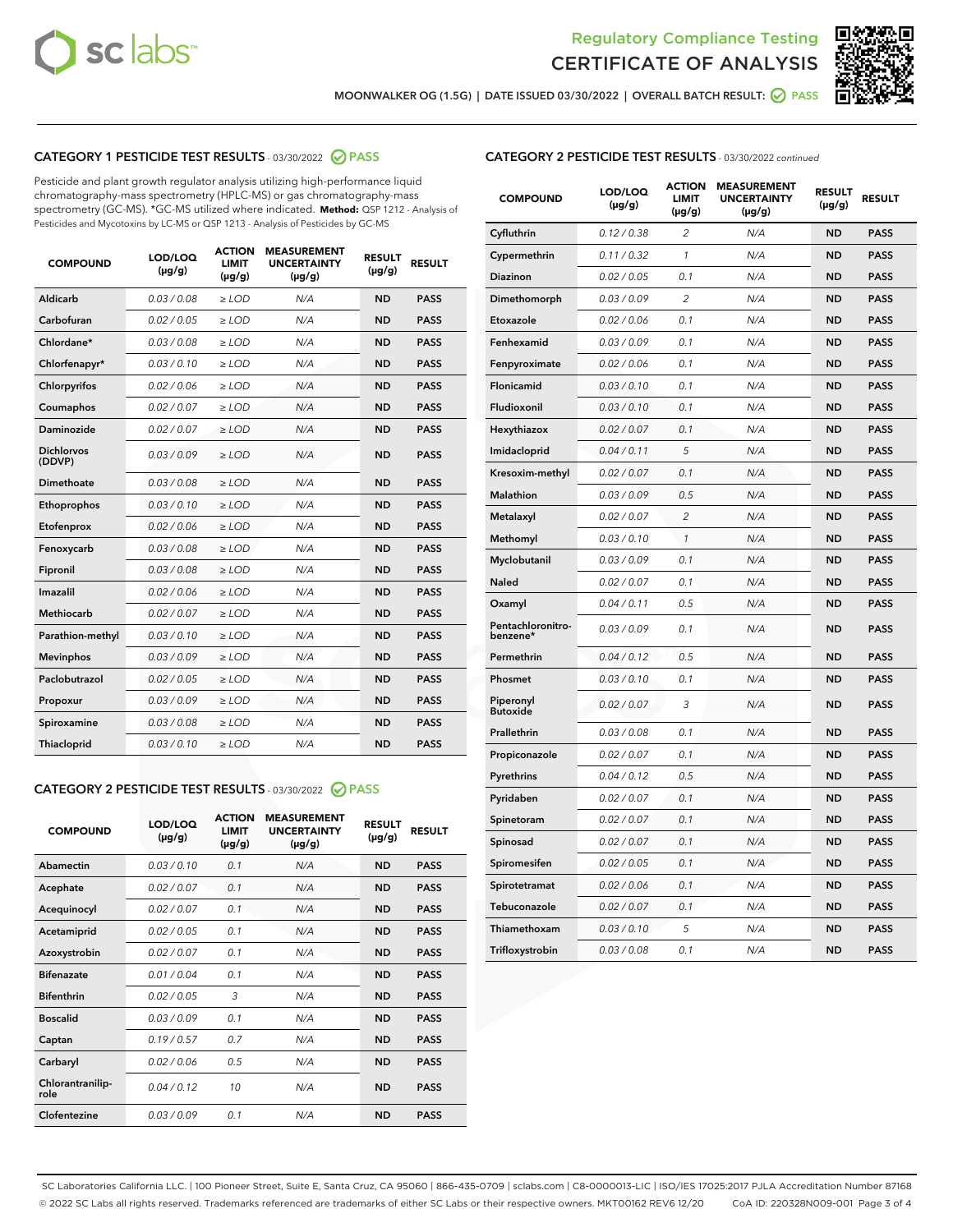



**MOONWALKER OG (1.5G) | DATE ISSUED 03/30/2022 | OVERALL BATCH RESULT: PASS**

# **CATEGORY 1 PESTICIDE TEST RESULTS** - 03/30/2022 **PASS**

Pesticide and plant growth regulator analysis utilizing high-performance liquid chromatography-mass spectrometry (HPLC-MS) or gas chromatography-mass spectrometry (GC-MS). \*GC-MS utilized where indicated. **Method:** QSP 1212 - Analysis of Pesticides and Mycotoxins by LC-MS or QSP 1213 - Analysis of Pesticides by GC-MS

| Aldicarb<br>0.03 / 0.08<br>$\ge$ LOD<br>N/A<br><b>ND</b><br><b>PASS</b><br>Carbofuran<br>0.02 / 0.05<br>$>$ LOD<br>N/A<br><b>ND</b><br><b>PASS</b><br>Chlordane*<br>0.03 / 0.08<br>$\ge$ LOD<br>N/A<br><b>ND</b><br><b>PASS</b><br>0.03/0.10<br><b>ND</b><br><b>PASS</b><br>Chlorfenapyr*<br>$>$ LOD<br>N/A<br>0.02/0.06<br>$>$ LOD<br>N/A<br><b>ND</b><br><b>PASS</b><br>Chlorpyrifos<br>0.02 / 0.07<br>$\ge$ LOD<br>N/A<br><b>ND</b><br><b>PASS</b><br>Coumaphos<br>Daminozide<br><b>PASS</b><br>0.02 / 0.07<br>$\ge$ LOD<br>N/A<br><b>ND</b><br><b>Dichlorvos</b><br>0.03/0.09<br>$>$ LOD<br>N/A<br><b>ND</b><br><b>PASS</b><br>(DDVP)<br>0.03/0.08<br>N/A<br><b>ND</b><br>Dimethoate<br>$>$ LOD<br><b>PASS</b><br>Ethoprophos<br>0.03/0.10<br>$\ge$ LOD<br>N/A<br><b>ND</b><br><b>PASS</b><br>N/A<br><b>ND</b><br><b>PASS</b><br>Etofenprox<br>0.02 / 0.06<br>$\ge$ LOD<br>N/A<br>0.03 / 0.08<br><b>ND</b><br><b>PASS</b><br>Fenoxycarb<br>$\ge$ LOD<br>0.03 / 0.08<br>N/A<br><b>ND</b><br><b>PASS</b><br>Fipronil<br>$\ge$ LOD<br>Imazalil<br>0.02/0.06<br>$>$ LOD<br>N/A<br><b>ND</b><br><b>PASS</b><br><b>Methiocarb</b><br>0.02 / 0.07<br>$\ge$ LOD<br>N/A<br><b>ND</b><br><b>PASS</b><br>N/A<br><b>ND</b><br><b>PASS</b><br>Parathion-methyl<br>0.03/0.10<br>$>$ LOD<br><b>Mevinphos</b><br>0.03/0.09<br>$\ge$ LOD<br>N/A<br><b>ND</b><br><b>PASS</b><br>Paclobutrazol<br>N/A<br><b>PASS</b><br>0.02 / 0.05<br>$\ge$ LOD<br><b>ND</b><br>0.03/0.09<br><b>ND</b><br>$\ge$ LOD<br>N/A<br><b>PASS</b><br>Propoxur<br>0.03 / 0.08<br>$\ge$ LOD<br><b>ND</b><br><b>PASS</b><br>Spiroxamine<br>N/A<br>0.03/0.10<br>Thiacloprid<br>$>$ LOD<br>N/A<br><b>ND</b><br><b>PASS</b> | <b>COMPOUND</b> | LOD/LOQ<br>$(\mu g/g)$ | <b>ACTION</b><br>LIMIT<br>$(\mu g/g)$ | <b>MEASUREMENT</b><br><b>UNCERTAINTY</b><br>$(\mu g/g)$ | <b>RESULT</b><br>$(\mu g/g)$ | <b>RESULT</b> |
|---------------------------------------------------------------------------------------------------------------------------------------------------------------------------------------------------------------------------------------------------------------------------------------------------------------------------------------------------------------------------------------------------------------------------------------------------------------------------------------------------------------------------------------------------------------------------------------------------------------------------------------------------------------------------------------------------------------------------------------------------------------------------------------------------------------------------------------------------------------------------------------------------------------------------------------------------------------------------------------------------------------------------------------------------------------------------------------------------------------------------------------------------------------------------------------------------------------------------------------------------------------------------------------------------------------------------------------------------------------------------------------------------------------------------------------------------------------------------------------------------------------------------------------------------------------------------------------------------------------------------------------------------------------------------------|-----------------|------------------------|---------------------------------------|---------------------------------------------------------|------------------------------|---------------|
|                                                                                                                                                                                                                                                                                                                                                                                                                                                                                                                                                                                                                                                                                                                                                                                                                                                                                                                                                                                                                                                                                                                                                                                                                                                                                                                                                                                                                                                                                                                                                                                                                                                                                 |                 |                        |                                       |                                                         |                              |               |
|                                                                                                                                                                                                                                                                                                                                                                                                                                                                                                                                                                                                                                                                                                                                                                                                                                                                                                                                                                                                                                                                                                                                                                                                                                                                                                                                                                                                                                                                                                                                                                                                                                                                                 |                 |                        |                                       |                                                         |                              |               |
|                                                                                                                                                                                                                                                                                                                                                                                                                                                                                                                                                                                                                                                                                                                                                                                                                                                                                                                                                                                                                                                                                                                                                                                                                                                                                                                                                                                                                                                                                                                                                                                                                                                                                 |                 |                        |                                       |                                                         |                              |               |
|                                                                                                                                                                                                                                                                                                                                                                                                                                                                                                                                                                                                                                                                                                                                                                                                                                                                                                                                                                                                                                                                                                                                                                                                                                                                                                                                                                                                                                                                                                                                                                                                                                                                                 |                 |                        |                                       |                                                         |                              |               |
|                                                                                                                                                                                                                                                                                                                                                                                                                                                                                                                                                                                                                                                                                                                                                                                                                                                                                                                                                                                                                                                                                                                                                                                                                                                                                                                                                                                                                                                                                                                                                                                                                                                                                 |                 |                        |                                       |                                                         |                              |               |
|                                                                                                                                                                                                                                                                                                                                                                                                                                                                                                                                                                                                                                                                                                                                                                                                                                                                                                                                                                                                                                                                                                                                                                                                                                                                                                                                                                                                                                                                                                                                                                                                                                                                                 |                 |                        |                                       |                                                         |                              |               |
|                                                                                                                                                                                                                                                                                                                                                                                                                                                                                                                                                                                                                                                                                                                                                                                                                                                                                                                                                                                                                                                                                                                                                                                                                                                                                                                                                                                                                                                                                                                                                                                                                                                                                 |                 |                        |                                       |                                                         |                              |               |
|                                                                                                                                                                                                                                                                                                                                                                                                                                                                                                                                                                                                                                                                                                                                                                                                                                                                                                                                                                                                                                                                                                                                                                                                                                                                                                                                                                                                                                                                                                                                                                                                                                                                                 |                 |                        |                                       |                                                         |                              |               |
|                                                                                                                                                                                                                                                                                                                                                                                                                                                                                                                                                                                                                                                                                                                                                                                                                                                                                                                                                                                                                                                                                                                                                                                                                                                                                                                                                                                                                                                                                                                                                                                                                                                                                 |                 |                        |                                       |                                                         |                              |               |
|                                                                                                                                                                                                                                                                                                                                                                                                                                                                                                                                                                                                                                                                                                                                                                                                                                                                                                                                                                                                                                                                                                                                                                                                                                                                                                                                                                                                                                                                                                                                                                                                                                                                                 |                 |                        |                                       |                                                         |                              |               |
|                                                                                                                                                                                                                                                                                                                                                                                                                                                                                                                                                                                                                                                                                                                                                                                                                                                                                                                                                                                                                                                                                                                                                                                                                                                                                                                                                                                                                                                                                                                                                                                                                                                                                 |                 |                        |                                       |                                                         |                              |               |
|                                                                                                                                                                                                                                                                                                                                                                                                                                                                                                                                                                                                                                                                                                                                                                                                                                                                                                                                                                                                                                                                                                                                                                                                                                                                                                                                                                                                                                                                                                                                                                                                                                                                                 |                 |                        |                                       |                                                         |                              |               |
|                                                                                                                                                                                                                                                                                                                                                                                                                                                                                                                                                                                                                                                                                                                                                                                                                                                                                                                                                                                                                                                                                                                                                                                                                                                                                                                                                                                                                                                                                                                                                                                                                                                                                 |                 |                        |                                       |                                                         |                              |               |
|                                                                                                                                                                                                                                                                                                                                                                                                                                                                                                                                                                                                                                                                                                                                                                                                                                                                                                                                                                                                                                                                                                                                                                                                                                                                                                                                                                                                                                                                                                                                                                                                                                                                                 |                 |                        |                                       |                                                         |                              |               |
|                                                                                                                                                                                                                                                                                                                                                                                                                                                                                                                                                                                                                                                                                                                                                                                                                                                                                                                                                                                                                                                                                                                                                                                                                                                                                                                                                                                                                                                                                                                                                                                                                                                                                 |                 |                        |                                       |                                                         |                              |               |
|                                                                                                                                                                                                                                                                                                                                                                                                                                                                                                                                                                                                                                                                                                                                                                                                                                                                                                                                                                                                                                                                                                                                                                                                                                                                                                                                                                                                                                                                                                                                                                                                                                                                                 |                 |                        |                                       |                                                         |                              |               |
|                                                                                                                                                                                                                                                                                                                                                                                                                                                                                                                                                                                                                                                                                                                                                                                                                                                                                                                                                                                                                                                                                                                                                                                                                                                                                                                                                                                                                                                                                                                                                                                                                                                                                 |                 |                        |                                       |                                                         |                              |               |
|                                                                                                                                                                                                                                                                                                                                                                                                                                                                                                                                                                                                                                                                                                                                                                                                                                                                                                                                                                                                                                                                                                                                                                                                                                                                                                                                                                                                                                                                                                                                                                                                                                                                                 |                 |                        |                                       |                                                         |                              |               |
|                                                                                                                                                                                                                                                                                                                                                                                                                                                                                                                                                                                                                                                                                                                                                                                                                                                                                                                                                                                                                                                                                                                                                                                                                                                                                                                                                                                                                                                                                                                                                                                                                                                                                 |                 |                        |                                       |                                                         |                              |               |
|                                                                                                                                                                                                                                                                                                                                                                                                                                                                                                                                                                                                                                                                                                                                                                                                                                                                                                                                                                                                                                                                                                                                                                                                                                                                                                                                                                                                                                                                                                                                                                                                                                                                                 |                 |                        |                                       |                                                         |                              |               |
|                                                                                                                                                                                                                                                                                                                                                                                                                                                                                                                                                                                                                                                                                                                                                                                                                                                                                                                                                                                                                                                                                                                                                                                                                                                                                                                                                                                                                                                                                                                                                                                                                                                                                 |                 |                        |                                       |                                                         |                              |               |

# **CATEGORY 2 PESTICIDE TEST RESULTS** - 03/30/2022 **PASS**

| <b>COMPOUND</b>          | LOD/LOO<br>$(\mu g/g)$ | <b>ACTION</b><br><b>LIMIT</b><br>$(\mu g/g)$ | <b>MEASUREMENT</b><br><b>UNCERTAINTY</b><br>$(\mu g/g)$ | <b>RESULT</b><br>$(\mu g/g)$ | <b>RESULT</b> |  |
|--------------------------|------------------------|----------------------------------------------|---------------------------------------------------------|------------------------------|---------------|--|
| Abamectin                | 0.03/0.10              | 0.1                                          | N/A                                                     | <b>ND</b>                    | <b>PASS</b>   |  |
| Acephate                 | 0.02/0.07              | 0.1                                          | N/A                                                     | <b>ND</b>                    | <b>PASS</b>   |  |
| Acequinocyl              | 0.02/0.07              | 0.1                                          | N/A                                                     | <b>ND</b>                    | <b>PASS</b>   |  |
| Acetamiprid              | 0.02/0.05              | 0.1                                          | N/A                                                     | <b>ND</b>                    | <b>PASS</b>   |  |
| Azoxystrobin             | 0 02 / 0 07            | 0.1                                          | N/A                                                     | <b>ND</b>                    | <b>PASS</b>   |  |
| <b>Bifenazate</b>        | 0.01/0.04              | 0.1                                          | N/A                                                     | <b>ND</b>                    | <b>PASS</b>   |  |
| <b>Bifenthrin</b>        | 0.02 / 0.05            | 3                                            | N/A                                                     | <b>ND</b>                    | <b>PASS</b>   |  |
| <b>Boscalid</b>          | 0.03/0.09              | 0.1                                          | N/A                                                     | <b>ND</b>                    | <b>PASS</b>   |  |
| Captan                   | 0.19/0.57              | 0.7                                          | N/A                                                     | <b>ND</b>                    | <b>PASS</b>   |  |
| Carbaryl                 | 0.02/0.06              | 0.5                                          | N/A                                                     | <b>ND</b>                    | <b>PASS</b>   |  |
| Chlorantranilip-<br>role | 0.04/0.12              | 10                                           | N/A                                                     | <b>ND</b>                    | <b>PASS</b>   |  |
| Clofentezine             | 0.03/0.09              | 0 <sub>1</sub>                               | N/A                                                     | <b>ND</b>                    | <b>PASS</b>   |  |

# **CATEGORY 2 PESTICIDE TEST RESULTS** - 03/30/2022 continued

| <b>COMPOUND</b>               | LOD/LOQ<br>(µg/g) | <b>ACTION</b><br><b>LIMIT</b><br>(µg/g) | <b>MEASUREMENT</b><br><b>UNCERTAINTY</b><br>$(\mu g/g)$ | <b>RESULT</b><br>(µg/g) | <b>RESULT</b> |
|-------------------------------|-------------------|-----------------------------------------|---------------------------------------------------------|-------------------------|---------------|
| Cyfluthrin                    | 0.12 / 0.38       | 2                                       | N/A                                                     | <b>ND</b>               | <b>PASS</b>   |
| Cypermethrin                  | 0.11 / 0.32       | $\mathbf{1}$                            | N/A                                                     | <b>ND</b>               | <b>PASS</b>   |
| Diazinon                      | 0.02 / 0.05       | 0.1                                     | N/A                                                     | <b>ND</b>               | <b>PASS</b>   |
| Dimethomorph                  | 0.03 / 0.09       | $\overline{c}$                          | N/A                                                     | ND                      | <b>PASS</b>   |
| Etoxazole                     | 0.02 / 0.06       | 0.1                                     | N/A                                                     | <b>ND</b>               | <b>PASS</b>   |
| Fenhexamid                    | 0.03 / 0.09       | 0.1                                     | N/A                                                     | <b>ND</b>               | <b>PASS</b>   |
| Fenpyroximate                 | 0.02 / 0.06       | 0.1                                     | N/A                                                     | <b>ND</b>               | <b>PASS</b>   |
| Flonicamid                    | 0.03 / 0.10       | 0.1                                     | N/A                                                     | <b>ND</b>               | <b>PASS</b>   |
| Fludioxonil                   | 0.03 / 0.10       | 0.1                                     | N/A                                                     | <b>ND</b>               | <b>PASS</b>   |
| Hexythiazox                   | 0.02 / 0.07       | 0.1                                     | N/A                                                     | <b>ND</b>               | <b>PASS</b>   |
| Imidacloprid                  | 0.04 / 0.11       | 5                                       | N/A                                                     | ND                      | <b>PASS</b>   |
| Kresoxim-methyl               | 0.02 / 0.07       | 0.1                                     | N/A                                                     | <b>ND</b>               | <b>PASS</b>   |
| Malathion                     | 0.03 / 0.09       | 0.5                                     | N/A                                                     | <b>ND</b>               | <b>PASS</b>   |
| Metalaxyl                     | 0.02 / 0.07       | $\overline{c}$                          | N/A                                                     | <b>ND</b>               | <b>PASS</b>   |
| Methomyl                      | 0.03 / 0.10       | $\mathcal{I}$                           | N/A                                                     | <b>ND</b>               | <b>PASS</b>   |
| Myclobutanil                  | 0.03 / 0.09       | 0.1                                     | N/A                                                     | <b>ND</b>               | <b>PASS</b>   |
| <b>Naled</b>                  | 0.02 / 0.07       | 0.1                                     | N/A                                                     | <b>ND</b>               | <b>PASS</b>   |
| Oxamyl                        | 0.04 / 0.11       | 0.5                                     | N/A                                                     | ND                      | <b>PASS</b>   |
| Pentachloronitro-<br>benzene* | 0.03 / 0.09       | 0.1                                     | N/A                                                     | <b>ND</b>               | <b>PASS</b>   |
| Permethrin                    | 0.04 / 0.12       | 0.5                                     | N/A                                                     | <b>ND</b>               | <b>PASS</b>   |
| Phosmet                       | 0.03/0.10         | 0.1                                     | N/A                                                     | <b>ND</b>               | <b>PASS</b>   |
| Piperonyl<br><b>Butoxide</b>  | 0.02 / 0.07       | 3                                       | N/A                                                     | <b>ND</b>               | <b>PASS</b>   |
| Prallethrin                   | 0.03 / 0.08       | 0.1                                     | N/A                                                     | <b>ND</b>               | <b>PASS</b>   |
| Propiconazole                 | 0.02 / 0.07       | 0.1                                     | N/A                                                     | ND                      | PASS          |
| Pyrethrins                    | 0.04 / 0.12       | 0.5                                     | N/A                                                     | <b>ND</b>               | <b>PASS</b>   |
| Pyridaben                     | 0.02 / 0.07       | 0.1                                     | N/A                                                     | ND                      | <b>PASS</b>   |
| Spinetoram                    | 0.02 / 0.07       | 0.1                                     | N/A                                                     | ND                      | PASS          |
| Spinosad                      | 0.02 / 0.07       | 0.1                                     | N/A                                                     | <b>ND</b>               | <b>PASS</b>   |
| Spiromesifen                  | 0.02 / 0.05       | 0.1                                     | N/A                                                     | <b>ND</b>               | <b>PASS</b>   |
| Spirotetramat                 | 0.02 / 0.06       | 0.1                                     | N/A                                                     | ND                      | <b>PASS</b>   |
| Tebuconazole                  | 0.02 / 0.07       | 0.1                                     | N/A                                                     | ND                      | PASS          |
| Thiamethoxam                  | 0.03 / 0.10       | 5                                       | N/A                                                     | ND                      | <b>PASS</b>   |
| Trifloxystrobin               | 0.03 / 0.08       | 0.1                                     | N/A                                                     | <b>ND</b>               | <b>PASS</b>   |

SC Laboratories California LLC. | 100 Pioneer Street, Suite E, Santa Cruz, CA 95060 | 866-435-0709 | sclabs.com | C8-0000013-LIC | ISO/IES 17025:2017 PJLA Accreditation Number 87168 © 2022 SC Labs all rights reserved. Trademarks referenced are trademarks of either SC Labs or their respective owners. MKT00162 REV6 12/20 CoA ID: 220328N009-001 Page 3 of 4